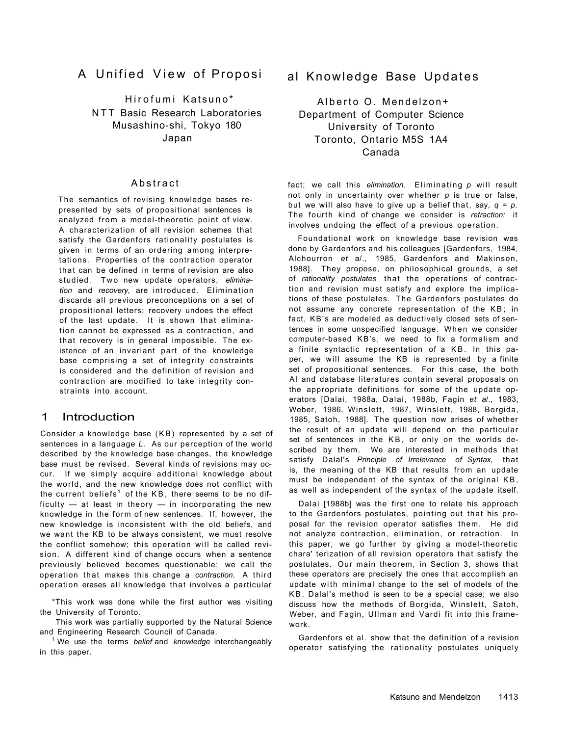# A Unified View of Proposi

Hirofumi Katsuno\* NTT Basic Research Laboratories Musashino-shi, Tokyo 180 Japan

The semantics of revising knowledge bases represented by sets of propositional sentences is analyzed from a model-theoretic point of view. A characterization of all revision schemes that satisfy the Gardenfors rationality postulates is given in terms of an ordering among interpretations. Properties of the contraction operator that can be defined in terms of revision are also studied. Two new update operators, *elimination* and *recovery,* are introduced. Elimination discards all previous preconceptions on a set of propositional letters; recovery undoes the effect of the last update. It is shown that elimination cannot be expressed as a contraction, and that recovery is in general impossible. The existence of an invariant part of the knowledge base comprising a set of integrity constraints is considered and the definition of revision and contraction are modified to take integrity constraints into account.

previously believed becomes questionable; we call the operation that makes this change a *contraction*. A third operation erases all knowledge that involves a particular

## 1 Introduction

<sup>1</sup> We use the terms *belief* and *knowledge* interchangeably in this paper.

Alberto O. Mendelzon+ Department of Computer Science University of Toronto Toronto, Ontario M5S 1A4 Canada

## Abstract

fact; we call this *elimination*. Eliminating p will result not only in uncertainty over whether *p* is true or false, but we will also have to give up a belief that, say,  $q = p$ . The fourth kind of change we consider is *retraction:* it involves undoing the effect of a previous operation.

Consider a knowledge base (KB) represented by a set of sentences in a language *L.* As our perception of the world described by the knowledge base changes, the knowledge base must be revised. Several kinds of revisions may occur. If we simply acquire additional knowledge about the world, and the new knowledge does not conflict with the current beliefs $^{\text{1}}$  of the KB, there seems to be no difficulty  $-$  at least in theory  $-$  in incorporating the new knowledge in the form of new sentences. If, however, the new knowledge is inconsistent with the old beliefs, and we want the KB to be always consistent, we must resolve the conflict somehow; this operation will be called revision. A different kind of change occurs when a sentence

\*This work was done while the first author was visiting the University of Toronto.

This work was partially supported by the Natural Science and Engineering Research Council of Canada.

# al Knowledge Base Updates

Foundational work on knowledge base revision was done by Gardenfors and his colleagues [Gardenfors, 1984, Alchourron *et* a/., 1985, Gardenfors and Makinson, 1988]. They propose, on philosophical grounds, a set of *rationality postulates* that the operations of contraction and revision must satisfy and explore the implications of these postulates. The Gardenfors postulates do not assume any concrete representation of the KB ; in fact, KB's are modeled as deductively closed sets of sentences in some unspecified language. When we consider computer-based KB's, we need to fix a formalism and a finite syntactic representation of a KB. In this paper, we will assume the KB is represented by a finite set of propositional sentences. For this case, the both AI and database literatures contain several proposals on the appropriate definitions for some of the update operators [Dalai, 1988a, Dalai, 1988b, Fagin *et a*/., 1983, Weber, 1986, Winslett, 1987, Winslett, 1988, Borgida, 1985, Satoh, 1988]. The question now arises of whether the result of an update will depend on the particular set of sentences in the KB, or only on the worlds described by them. We are interested in methods that satisfy Dalal's *Principle of Irrelevance of Syntax,* that is, the meaning of the KB that results from an update must be independent of the syntax of the original KB, as well as independent of the syntax of the update itself.

Dalai [1988b] was the first one to relate his approach to the Gardenfors postulates, pointing out that his proposal for the revision operator satisfies them. He did not analyze contraction, elimination, or retraction. In this paper, we go further by giving a model-theoretic chara' terization of all revision operators that satisfy the

postulates. Our main theorem, in Section 3, shows that these operators are precisely the ones that accomplish an update with minimal change to the set of models of the KB. Dalal's method is seen to be a special case; we also discuss how the methods of Borgida, Winslett, Satoh, Weber, and Fagin, Ullman and Vardi fit into this framework.

Gardenfors et al. show that the definition of a revision operator satisfying the rationality postulates uniquely

#### Katsuno and Mendelzon 1413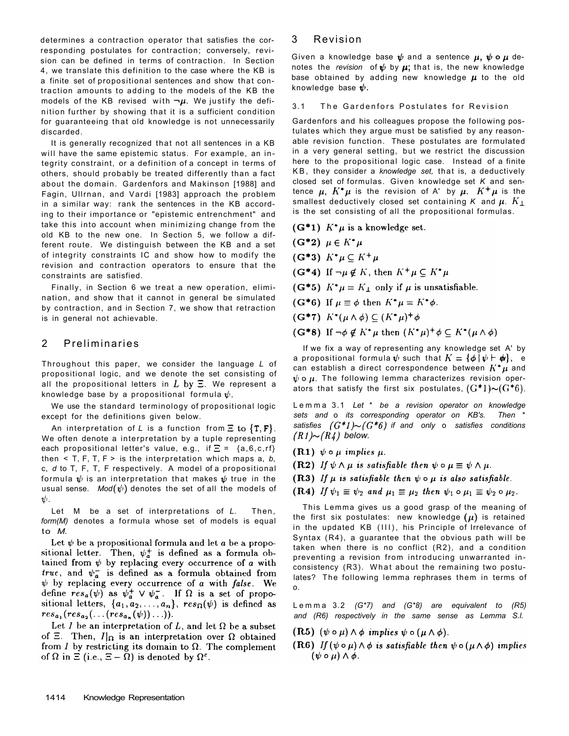determines a contraction operator that satisfies the corresponding postulates for contraction; conversely, revision can be defined in terms of contraction. In Section 4, we translate this definition to the case where the KB is a finite set of propositional sentences and show that contraction amounts to adding to the models of the KB the models of the KB revised with  $\neg \mu$ . We justify the definition further by showing that it is a sufficient condition for guaranteeing that old knowledge is not unnecessarily discarded.

Throughout this paper, we consider the language *L* of propositional logic, and we denote the set consisting of all the propositional letters in  $L$  by  $\Xi$ . We represent a knowledge base by a propositional formula  $\psi$ .

It is generally recognized that not all sentences in a KB will have the same epistemic status. For example, an integrity constraint, or a definition of a concept in terms of others, should probably be treated differently than a fact about the domain. Gardenfors and Makinson [1988] and Fagin, Ullrnan, and Vardi [1983] approach the problem in a similar way: rank the sentences in the KB according to their importance or "epistemic entrenchment" and take this into account when minimizing change from the old KB to the new one. In Section 5, we follow a different route. We distinguish between the KB and a set of integrity constraints IC and show how to modify the revision and contraction operators to ensure that the constraints are satisfied.

Finally, in Section 6 we treat a new operation, elimination, and show that it cannot in general be simulated by contraction, and in Section 7, we show that retraction is in general not achievable.

# 2 Preliminaries

If we fix a way of representing any knowledge set A' by a propositional formula  $\psi$  such that  $K = {\phi | \psi \vdash \phi\psi}$ , e can establish a direct correspondence between  $K^* \mu$  and  $\psi$  o  $\mu$ . The following lemma characterizes revision operators that satisfy the first six postulates,  $(G^*1) {\sim} (G^*6)$ .

Lemm a 3.1 *Let* \* *be a revision operator on knowledge sets and* o *its corresponding operator on KB's. Then* \* *satisfies*  $(G^*1) \sim (G^*6)$  if and only o satisfies conditions  $(R1) \sim (R4)$  below.

 $(R1)$   $\psi \circ \mu$  implies  $\mu$ .

(R2) If  $\psi \wedge \mu$  is satisfiable then  $\psi \circ \mu \equiv \psi \wedge \mu$ .

(R3) If  $\mu$  is satisfiable then  $\psi \circ \mu$  is also satisfiable.

 $(R4)$  If  $\psi_1 \equiv \psi_2$  and  $\mu_1 \equiv \mu_2$  then  $\psi_1 \circ \mu_1 \equiv \psi_2 \circ \mu_2$ .

We use the standard terminology of propositional logic except for the definitions given below.

An interpretation of *L* is a function from  $\Xi$  to  $\{T, F\}$ . We often denote a interpretation by a tuple representing each propositional letter's value, e.g., if  $\Xi = \{a, 6, c, rf\}$ then < T, F, T, F > is the interpretation which maps a, *b,*  c, *d* to T, F, T, F respectively. A model of a propositional formula  $\psi$  is an interpretation that makes  $\psi$  true in the usual sense. *Mod*  $(\psi)$  denotes the set of all the models of  $|\psi_{\cdot}|$ 

Let M be a set of interpretations of *L.* Then, *form(M)* denotes a formula whose set of models is equal to *M.* 

Let  $\psi$  be a propositional formula and let a be a propositional letter. Then,  $\psi_a^+$  is defined as a formula ob(G<sup>\*</sup>5)  $K^*\mu = K_{\perp}$  only if  $\mu$  is unsatisfiable.  $(G*6)$  If  $\mu \equiv \phi$  then  $K^*\mu = K^*\phi$ .  $(G^*7)$   $K^*(\mu \wedge \phi) \subseteq (K^*\mu)^+\phi$  $(G^*8)$  If  $\neg \phi \notin K^* \mu$  then  $(K^* \mu)^+ \phi \subseteq K^* (\mu \wedge \phi)$ 

1414 Knowledge Representation

## 3 Revision

Given a knowledge base  $\psi$  and a sentence  $\mu$ ,  $\psi \circ \mu$  denotes the *revision* of  $\psi$  by  $\mu$ ; that is, the new knowledge base obtained by adding new knowledge  $\mu$  to the old knowledge base  $\psi$ .

#### 3.1 The Gardenfors Postulates for Revision

Gardenfors and his colleagues propose the following postulates which they argue must be satisfied by any reasonable revision function. These postulates are formulated in a very general setting, but we restrict the discussion here to the propositional logic case. Instead of a finite K B , they consider a *knowledge set,* that is, a deductively closed set of formulas. Given knowledge set *K* and sentence  $\mu$ ,  $K^*\mu$  is the revision of A' by  $\mu$ .  $K^+\mu$  is the smallest deductively closed set containing K and  $\mu$ .  $K_{\perp}$ is the set consisting of all the propositional formulas.

```
(G^*1) K^*\mu is a knowledge set.
```

```
(G^*2) \mu \in K^*\mu(G*3) K^*\mu \subseteq K^+\mu(G^*4) If \neg \mu \notin K, then K^+ \mu \subseteq K^* \mu
```
This Lemma gives us a good grasp of the meaning of the first six postulates: new knowledge  $(\mu)$  is retained in the updated KB (III), his Principle of Irrelevance of Syntax  $(R4)$ , a guarantee that the obvious path will be taken when there is no conflict (R2), and a condition preventing a revision from introducing unwarranted inconsistency  $(R3)$ . What about the remaining two postulates? The following lemma rephrases them in terms of o.

tained from  $\psi$  by replacing every occurrence of a with *true*, and  $\psi_a^-$  is defined as a formula obtained from  $\psi$  by replacing every occurrence of a with false. We define  $res_a(\psi)$  as  $\psi_a^+ \vee \psi_a^-$ . If  $\Omega$  is a set of propositional letters,  $\{a_1, a_2, \ldots, a_n\}$ ,  $res_{\Omega}(\psi)$  is defined as  $res_{a_1}(res_{a_2}(... (res_{a_n}(\psi))...)).$ 

Let I be an interpretation of L, and let  $\Omega$  be a subset of  $\Xi$ . Then,  $I|_{\Omega}$  is an interpretation over  $\Omega$  obtained from I by restricting its domain to  $\Omega$ . The complement of  $\Omega$  in  $\Xi$  (i.e.,  $\Xi - \Omega$ ) is denoted by  $\Omega^c$ .

Lemm a 3.2 *(G\*7) and (G\*8) are equivalent to (R5) and (R6) respectively in the same sense as Lemma S.l.* 

 $(R5)$   $(\psi \circ \mu) \wedge \phi$  implies  $\psi \circ (\mu \wedge \phi)$ .

(R6) If  $(\psi \circ \mu) \wedge \phi$  is satisfiable then  $\psi \circ (\mu \wedge \phi)$  implies  $(\psi \circ \mu) \wedge \phi$ .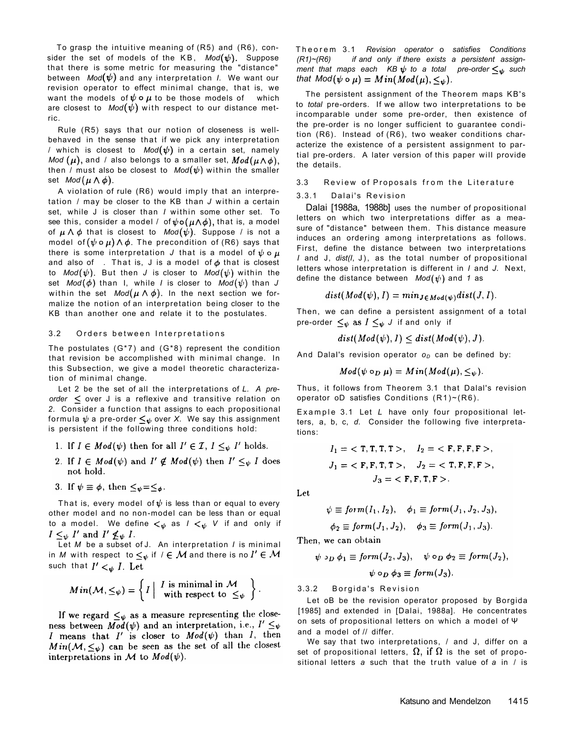To grasp the intuitive meaning of (R5) and (R6), consider the set of models of the KB,  $Mod(\psi)$ . Suppose that there is some metric for measuring the "distance" between  $Mod(\psi)$  and any interpretation *I*. We want our revision operator to effect minimal change, that is, we want the models of  $\psi \circ \mu$  to be those models of which are closest to  $Mod(\psi)$  with respect to our distance metric.

Rule (R5) says that our notion of closeness is wellbehaved in the sense that if we pick any interpretation / which is closest to  $Mod(\psi)$  in a certain set, namely *Mod*  $(\mu)$ , and / also belongs to a smaller set,  $Mod(\mu \wedge \phi)$ , then / must also be closest to  $Mod(\psi)$  within the smaller set  $Mod(\mu \wedge \phi)$ .

A violation of rule (R6) would imply that an interpretation / may be closer to the KB than *J* within a certain set, while J is closer than *I* within some other set. To see this, consider a model / of  $\psi \circ (\mu \wedge \phi)$ , that is, a model of  $\mu \wedge \phi$  that is closest to  $Mod(\psi)$ . Suppose / is not a model of  $(\psi \circ \mu) \wedge \phi$ . The precondition of (R6) says that there is some interpretation *J* that is a model of  $\psi \circ \mu$ and also of . That is, J is a model of  $\phi$  that is closest to  $Mod(\psi)$ . But then *J* is closer to  $Mod(\psi)$  within the

set  $Mod(\phi)$  than I, while *I* is closer to  $Mod(\psi)$  than *J* within the set  $Mod(\mu \wedge \phi)$ . In the next section we formalize the notion of an interpretation being closer to the KB than another one and relate it to the postulates.

#### 3.2 Orders between Interpretations

Let *M* be a subset of J. An interpretation *I* is minimal in *M* with respect to  $\leq_{\psi}$  if  $\ell \in \mathcal{M}$  and there is no  $I' \in \mathcal{M}$ 

 $dist(Mod(\psi), I) = min_{J \in Mod(\psi)}dist(J, I).$ 

Theore m 3.1 *Revision operator* o *satisfies Conditions (R1)~(R6) if and only if there exists a persistent assignment that maps each KB*  $\psi$  *to a total pre-order*  $\leq_{\psi}$  such *that*  $Mod(\psi \circ \mu) = Min(Mod(\mu), \leq_{\psi}).$ 

The persistent assignment of the Theorem maps KB's to *total* pre-orders. If we allow two interpretations to be incomparable under some pre-order, then existence of the pre-order is no longer sufficient to guarantee condition (R6). Instead of (R6), two weaker conditions characterize the existence of a persistent assignment to partial pre-orders. A later version of this paper will provide the details.

#### 3.3 Review of Proposals from the Literature

#### 3.3.1 Dalai's Revision

Dalai [1988a, 1988b] uses the number of propositional letters on which two interpretations differ as a measure of "distance" between them. This distance measure induces an ordering among interpretations as follows. First, define the distance between two interpretations *I* and J, *dist(I*, J), as the total number of propositional letters whose interpretation is different in *I* and *J.* Next, define the distance between  $Mod(\psi)$  and 1 as

The postulates (G\*7) and (G\*8) represent the condition that revision be accomplished with minimal change. In this Subsection, we give a model theoretic characterization of minimal change.

Then, we can define a persistent assignment of a total pre-order  $\leq_{\psi}$  as  $I \leq_{\psi} J$  if and only if

 $dist(Mod(\psi), I) \le dist(Mod(\psi), J).$ 

And Dalal's revision operator  $o_D$  can be defined by:

 $Mod(\psi \circ_D \mu) = Min(Mod(\mu), \leq_{\psi}).$ 

Thus, it follows from Theorem 3.1 that Dalal's revision operator oD satisfies Conditions  $(R1)~ (R6)$ .

Let 2 be the set of all the interpretations of *L. A preorder*  $\leq$  over J is a reflexive and transitive relation on *2.* Consider a function that assigns to each propositional formula  $\psi$  a pre-order  $\leq_{\psi}$  over X. We say this assignment is persistent if the following three conditions hold:

- 1. If  $I \in Mod(\psi)$  then for all  $I' \in \mathcal{I}$ ,  $I \leq_{\psi} I'$  holds.
- 2. If  $I \in Mod(\psi)$  and  $I' \notin Mod(\psi)$  then  $I' \leq_{\psi} I$  does not hold.

3. If  $\psi \equiv \phi$ , then  $\leq_{\psi} = \leq_{\phi}$ .

That is, every model of  $\psi$  is less than or equal to every other model and no non-model can be less than or equal to a model. We define  $\lt_\psi$  as  $I \lt_\psi V$  if and only if  $I \leq_{\psi} I'$  and  $I' \nleq_{\psi} I$ .

Example 3.1 Let L have only four propositional letters, a, b, c, *d.* Consider the following five interpretations:

$$
I_1 = \langle T, T, T, T \rangle, \quad I_2 = \langle F, F, F, F \rangle, J_1 = \langle F, F, T, T \rangle, \quad J_2 = \langle T, F, F, F \rangle, J_3 = \langle F, F, T, F \rangle.
$$

Let

$$
\psi \equiv \text{form}(I_1, I_2), \quad \phi_1 \equiv \text{form}(J_1, J_2, J_3),
$$

$$
\phi_2 \equiv \text{form}(J_1, J_2), \quad \phi_3 \equiv \text{form}(J_1, J_3).
$$

Then, we can obtain

$$
\psi \circ \ldots \phi_1 \equiv \text{form}(J_2, J_3), \quad \psi \circ \ldots \phi_2 \equiv \text{form}(J_2),
$$

such that  $I' <_{\Psi} I$ . Let  $Min(\mathcal{M}, \leq_{\psi}) = \left\{ I \mid \begin{array}{c} I \text{ is minimal in } \mathcal{M} \\ \text{with respect to } \leq_{\psi} \end{array} \right\}.$ 

If we regard  $\leq_{\psi}$  as a measure representing the closeness between  $\overline{Mod}(\psi)$  and an interpretation, i.e.,  $I' \leq_{\psi}$ I means that I' is closer to  $Mod(\psi)$  than I, then  $Min(\mathcal{M}, \leq_{\psi})$  can be seen as the set of all the closest interpretations in M to  $Mod(\psi)$ .

 $\cdots$ ( $\cdots$ )  $\cdots$ )  $\cdots$ 

 $\psi \circ_D \phi_3 \equiv \text{form}(J_3).$ 

3.3.2 Borgida's Revision

We say that two interpretations, / and J, differ on a set of propositional letters,  $\Omega$ , if  $\Omega$  is the set of propositional letters a such that the truth value of a in / is

### Katsuno and Mendelzon 1415

Let oB be the revision operator proposed by Borgida [1985] and extended in [Dalai, 1988a]. He concentrates on sets of propositional letters on which a model of Ψ and a model of // differ.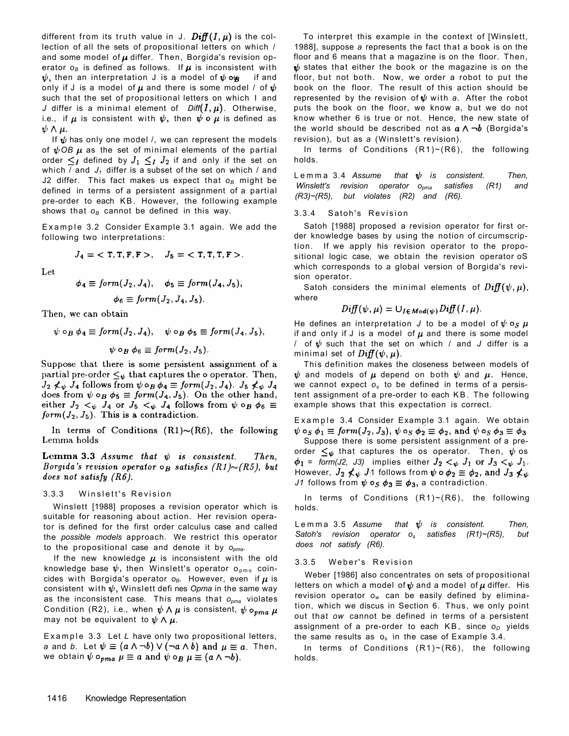different from its truth value in J.  $\mathbf{Diff}(I,\mu)$  is the collection of all the sets of propositional letters on which / and some model of  $\mu$  differ. Then, Borgida's revision operator  $o_B$  is defined as follows. If  $\mu$  is inconsistent with  $\psi$ , then an interpretation J is a model of  $\psi$  og if and only if J is a model of  $\mu$  and there is some model / of  $\psi$ such that the set of propositional letters on which I and *J* differ is a minimal element of  $Diff(I, \mu)$ . Otherwise, i.e., if  $\mu$  is consistent with  $\psi$ , then  $\psi \circ \mu$  is defined as  $\psi \wedge \mu$ .

If  $\psi$  has only one model /, we can represent the models of  $\psi$ OB  $\mu$  as the set of minimal elements of the partial order  $\leq I$  defined by  $J_1 \leq I$   $J_2$  if and only if the set on which / and  $J_1$  differ is a subset of the set on which / and J2 differ. This fact makes us expect that *oB* might be defined in terms of a persistent assignment of a partial pre-order to each KB. However, the following example shows that *oB* cannot be defined in this way.

Example 3.2 Consider Example 3.1 again. We add the following two interpretations:

$$
J_4 = \langle T, T, F, F \rangle, \quad J_5 = \langle T, T, T, F \rangle.
$$

Winslett [1988] proposes a revision operator which is suitable for reasoning about action. Her revision operator is defined for the first order calculus case and called the *possible models* approach. We restrict this operator to the propositional case and denote it by *opma.* 

If the new knowledge  $\mu$  is inconsistent with the old

Satoh considers the minimal elements of  $Diff(\psi, \mu)$ , where

$$
Diff(\psi,\mu)=\cup_{I\in Mod(\psi)}Diff(I,\mu).
$$

He defines an interpretation *J* to be a model of  $\psi \circ_S \mu$ if and only if J is a model of  $\mu$  and there is some model / of  $\psi$  such that the set on which / and *J* differ is a minimal set of  $\text{Diff}(\psi,\mu)$ .

Suppose there is some persistent assignment of a preorder  $\leq_{\psi}$  that captures the os operator. Then,  $\psi$  os  $\phi_1$  = form(J2, J3) implies either  $J_2 <_{\psi} J_1$  or  $J_3 <_{\psi} J_1$ . However,  $J_2 \nless \psi$  J1 follows from  $\psi \circ \phi_2 \equiv \phi_2$ , and  $J_3 \nless \psi$ *J1* follows from  $\psi \circ_S \phi_3 \equiv \phi_3$ , a contradiction.

1416 Knowledge Representation

Weber [1986] also concentrates on sets of propositional letters on which a model of  $\psi$  and a model of  $\mu$  differ. His revision operator *ow* can be easily defined by elimination, which we discus in Section 6. Thus, we only point out that *ow* cannot be defined in terms of a persistent assignment of a pre-order to each KB, since  $o<sub>D</sub>$  yields the same results as  $o_s$  in the case of Example 3.4.

To interpret this example in the context of [Winslett, 1988], suppose *a* represents the fact that a book is on the floor and 6 means that a magazine is on the floor. Then,  $\psi$  states that either the book or the magazine is on the floor, but not both. Now, we order a robot to put the book on the floor. The result of this action should be represented by the revision of  $\psi$  with a. After the robot puts the book on the floor, we know a, but we do not know whether 6 is true or not. Hence, the new state of the world should be described not as  $a \wedge \neg b$  (Borgida's revision), but as *a* (Winslett's revision).

In terms of Conditions (R1)~(R6), the following holds.

Lemm a 3.4 *Assume that is consistent. Then, Winslett's revision operator opma satisfies (R1) and (R3)~(R5), but violates (R2) and (R6).* 

#### 3.3.4 Satoh's Revision

Satoh [1988] proposed a revision operator for first order knowledge bases by using the notion of circumscription. If we apply his revision operator to the propositional logic case, we obtain the revision operator oS which corresponds to a global version of Borgida's revision operator.

Let

$$
\phi_4 \equiv \text{form}(J_2, J_4), \quad \phi_5 \equiv \text{form}(J_4, J_5),
$$

$$
\phi_6 \equiv \text{form}(J_2, J_4, J_5).
$$

Then, we can obtain

$$
\psi \circ_B \phi_4 \equiv form(J_2, J_4), \quad \psi \circ_B \phi_5 \equiv form(J_4, J_5),
$$

$$
\psi \circ_B \phi_6 \equiv form(J_2, J_5).
$$

Suppose that there is some persistent assignment of a partial pre-order  $\leq_{\psi}$  that captures the  $\circ$  operator. Then,  $J_2 \nless \psi$   $J_4$  follows from  $\psi \circ_B \phi_4 \equiv \text{form}(J_2, J_4)$ .  $J_5 \nless \psi$   $J_4$ does from  $\psi \circ_B \phi_5 \equiv \text{form}(J_4, J_5)$ . On the other hand, either  $J_2 <_{\psi} J_4$  or  $J_5 <_{\psi} J_4$  follows from  $\psi \circ_B \phi_6 \equiv$  $form(J_2, J_5)$ . This is a contradiction.

In terms of Conditions  $(R1) \sim (R6)$ , the following Lemma holds

 $Then,$ **Lemma 3.3** Assume that  $\psi$  is consistent. *Borgida's revision operator*  $\circ_B$  satisfies  $(R1) \sim (R5)$ , but does not satisfy  $(R6)$ .

## 3.3.3 Winslett's Revision

This definition makes the closeness between models of  $\psi$  and models of  $\mu$  depend on both  $\psi$  and  $\mu$ . Hence, we cannot expect *os* to be defined in terms of a persistent assignment of a pre-order to each KB. The following example shows that this expectation is correct.

Example 3.4 Consider Example 3.1 again. We obtain  $\psi \circ_S \phi_1 \equiv \text{form}(J_2, J_3), \psi \circ_S \phi_2 \equiv \phi_2$ , and  $\psi \circ_S \phi_3 \equiv \phi_3$ 

In terms of Conditions (R1)~(R6), the following holds.

Lemm a 3.5 *Assume that is consistent. Then, Satoh's revision operator os satisfies (R1)~(R5), but does not satisfy (R6).* 

knowledge base  $\psi$ , then Winslett's operator o<sub>pmo</sub> coincides with Borgida's operator  $o_B$ . However, even if  $\mu$  is consistent with  $\psi$ , Winslett defines Opma in the same way as the inconsistent case. This means that *opma* violates Condition (R2), i.e., when  $\psi \wedge \mu$  is consistent,  $\psi \circ_{pma} \mu$ may not be equivalent to  $\psi \wedge \mu$ .

Example 3.3 Let L have only two propositional letters, *a* and *b.* Let  $\psi \equiv (a \wedge \neg b) \vee (\neg a \wedge b)$  and  $\mu \equiv a$ . Then, we obtain  $\psi \circ_{pma} \mu \equiv a$  and  $\psi \circ_B \mu \equiv (a \wedge \neg b)$ .

### 3.3.5 Weber's Revision

In terms of Conditions (R1)~(R6), the following holds.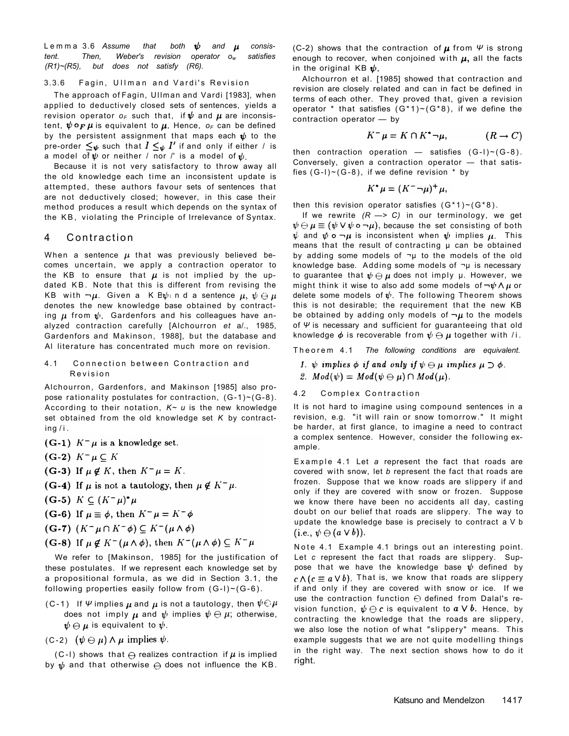Lemma 3.6 Assume that both  $\psi$  and  $\mu$  consis*tent. Then, Weber's revision operator ow satisfies (R1)~(R5), but does not satisfy (R6).* 

#### 3.3.6 Fagin, Ullman and Vardi's Revision

The approach of Fagin, Ullman and Vardi [1983], when applied to deductively closed sets of sentences, yields a revision operator  $o_F$  such that, if  $\psi$  and  $\mu$  are inconsistent,  $\psi \circ F \mu$  is equivalent to  $\mu$ . Hence,  $\sigma_F$  can be defined by the persistent assignment that maps each  $\psi$  to the pre-order  $\leq_{\psi}$  such that  $I \leq_{\psi} I'$  if and only if either / is a model of  $\psi$  or neither / nor /' is a model of  $\psi$ .

When a sentence  $\mu$  that was previously believed becomes uncertain, we apply a contraction operator to the KB to ensure that  $\mu$  is not implied by the updated KB. Note that this is different from revising the KB with  $\neg \mu$ . Given a K B $\psi$  nd a sentence  $\mu$ ,  $\psi \ominus \mu$ denotes the new knowledge base obtained by contracting  $\mu$  from  $\psi$ . Gardenfors and his colleagues have analyzed contraction carefully [Alchourron *et* a/., 1985, Gardenfors and Makinson, 1988], but the database and Al literature has concentrated much more on revision.

(C-2) shows that the contraction of  $\mu$  from  $\Psi$  is strong enough to recover, when conjoined with  $\mu$ , all the facts in the original KB  $\psi$ .

Because it is not very satisfactory to throw away all the old knowledge each time an inconsistent update is attempted, these authors favour sets of sentences that are not deductively closed; however, in this case their method produces a result which depends on the syntax of the KB , violating the Principle of Irrelevance of Syntax.

## 4 Contraction

Alchourron, Gardenfors, and Makinson [1985] also propose rationality postulates for contraction,  $(G-1)$ ~ $(G-8)$ . According to their notation, *K~ u* is the new knowledge set obtained from the old knowledge set *K* by contract $ing/i$ .

(G-1) 
$$
K^- \mu
$$
 is a knowledge set.

 $(G-2) K^- \mu \subseteq K$ 

(G-3) If  $\mu \notin K$ , then  $K^-\mu = K$ .

(G-4) If  $\mu$  is not a tautology, then  $\mu \notin K^- \mu$ .

 $(G-5)$   $K \subseteq (K^-\mu)^*\mu$ 

(G-6) If  $\mu \equiv \phi$ , then  $K^-\mu = K^-\phi$ 

 $(G-7)$   $(K^- \mu \cap K^- \phi) \subseteq K^- (\mu \wedge \phi)$ 

 $(G-8)$  If  $\mu \notin K^-(\mu \wedge \phi)$ , then  $K^-(\mu \wedge \phi) \subseteq K^-\mu$ 

these postulates. If we represent each knowledge set by a propositional formula, as we did in Section 3.1, the following properties easily follow from  $(G-I) \sim (G-6)$ .

(C-1) If  $\Psi$  implies  $\mu$  and  $\mu$  is not a tautology, then  $\psi \ominus \mu$ does not imply  $\mu$  and  $\psi$  implies  $\psi \ominus \mu$ ; otherwise,  $\bm{\psi} \ominus \bm{\mu}$  is equivalent to  $\bm{\psi}.$ 

 $(C-2)$   $(\psi \ominus \mu) \wedge \mu$  implies  $\psi$ .

(C-I) shows that  $\Theta$  realizes contraction if  $\mu$  is implied by  $\psi$  and that otherwise  $\ominus$  does not influence the KB.

## Katsuno and Mendelzon 1417

If we rewrite *(R* —> *C)* in our terminology, we get  $\psi \ominus \mu \equiv (\psi \vee \psi \circ \neg \mu)$ , because the set consisting of both  $\psi$  and  $\psi$  o  $\neg \mu$  is inconsistent when  $\psi$  implies  $\mu$ . This means that the result of contracting  $\mu$  can be obtained by adding some models of  $\neg\mu$  to the models of the old knowledge base. Adding some models of  $\neg\mu$  is necessary to guarantee that  $\psi \ominus \mu$  does not imply  $\mu$ . However, we might think it wise to also add some models of  $\neg \psi \wedge \mu$  or delete some models of  $\psi$ . The following Theorem shows this is not desirable; the requirement that the new KB be obtained by adding only models of  $\neg \mu$  to the models of *Ψ* is necessary and sufficient for guaranteeing that old knowledge  $\phi$  is recoverable from  $\psi \ominus \mu$  together with /i.

4.1 Connection between Contraction and **Revision** 

We refer to [Makinson, 1985] for the justification of

Note 4.1 Example 4.1 brings out an interesting point. Let *c* represent the fact that roads are slippery. Suppose that we have the knowledge base  $\psi$  defined by  $c \wedge (c \equiv a \vee b)$ . That is, we know that roads are slippery if and only if they are covered with snow or ice. If we use the contraction function  $\Theta$  defined from Dalal's revision function,  $\psi \ominus c$  is equivalent to  $\alpha \vee b$ . Hence, by contracting the knowledge that the roads are slippery, we also lose the notion of what "slippery" means. This example suggests that we are not quite modelling things in the right way. The next section shows how to do it right.

Alchourron et al. [1985] showed that contraction and revision are closely related and can in fact be defined in terms of each other. They proved that, given a revision operator \* that satisfies  $(G*1)~ (G*8)$ , if we define the contraction operator — by

$$
K^- \mu = K \cap K^* \neg \mu, \qquad (R \to C)
$$

then contraction operation  $-$  satisfies  $(G-I) \sim (G-8)$ . Conversely, given a contraction operator — that satisfies  $(G-1)$  ~  $(G-8)$ , if we define revision  $*$  by

$$
K^*\mu=(K^-\neg\mu)^+\mu,
$$

then this revision operator satisfies  $(G*1) \sim (G*8)$ .

Theore m 4.1 *The following conditions are equivalent.* 

- 1.  $\psi$  implies  $\phi$  if and only if  $\psi \ominus \mu$  implies  $\mu \supset \phi$ .
- 2.  $Mod(\psi) = Mod(\psi \ominus \mu) \cap Mod(\mu)$ .

### 4.2 Complex Contraction

It is not hard to imagine using compound sentences in a revision, e.g. "it will rain or snow tomorrow." It might be harder, at first glance, to imagine a need to contract a complex sentence. However, consider the following example.

Example 4.1 Let a represent the fact that roads are covered with snow, let *b* represent the fact that roads are frozen. Suppose that we know roads are slippery if and only if they are covered with snow or frozen. Suppose we know there have been no accidents all day, casting doubt on our belief that roads are slippery. The way to update the knowledge base is precisely to contract a V b  $(i.e., \psi \ominus (a \vee b)).$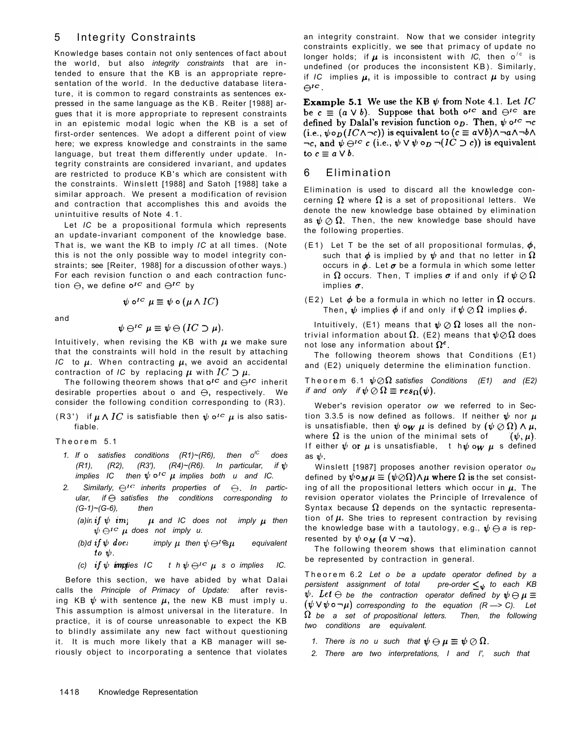# 5 Integrity Constraints

Knowledge bases contain not only sentences of fact about the world, but also *integrity constraints* that are intended to ensure that the KB is an appropriate representation of the world. In the deductive database literature, it is common to regard constraints as sentences expressed in the same language as the KB . Reiter [1988] argues that it is more appropriate to represent constraints in an epistemic modal logic when the KB is a set of first-order sentences. We adopt a different point of view here; we express knowledge and constraints in the same language, but treat them differently under update. Integrity constraints are considered invariant, and updates are restricted to produce KB's which are consistent with the constraints. Winslett [1988] and Satoh [1988] take a similar approach. We present a modification of revision and contraction that accomplishes this and avoids the unintuitive results of Note 4.1.

The following theorem shows that  $o^{IC}$  and  $\bigoplus^{IC}$  inherit desirable properties about o and  $\Theta$ , respectively. We consider the following condition corresponding to (R3).

(R3') if  $\mu \wedge IC$  is satisfiable then  $\psi \circ C$   $\mu$  is also satisfiable.

Let *IC* be a propositional formula which represents an update-invariant component of the knowledge base. That is, we want the KB to imply *IC* at all times. (Note this is not the only possible way to model integrity constraints; see [Reiter, 1988] for a discussion of other ways.) For each revision function o and each contraction funcan integrity constraint. Now that we consider integrity constraints explicitly, we see that primacy of update no longer holds; if  $\boldsymbol{\mu}$  is inconsistent with *IC,* then o<sup>'c</sup> is undefined (or produces the inconsistent KB). Similarly, if IC implies  $\mu$ , it is impossible to contract  $\mu$  by using  $\Theta^{IC}$ .

**Example 5.1** We use the KB  $\psi$  from Note 4.1. Let IC be  $c \equiv (a \vee b)$ . Suppose that both  $o^{rc}$  and  $\bigoplus^{rc}$  are defined by Dalal's revision function  $\circ_D$ . Then,  $\psi \circ C = c$ (i.e.,  $\psi \circ_D (IC \wedge \neg c)$ ) is equivalent to  $(c \equiv a \vee b) \wedge \neg a \wedge \neg b \wedge$  $\lnot c$ , and  $\psi \ominus^{ic} c$  (i.e.,  $\psi \vee \psi \circ_D \neg (IC \supset c)$ ) is equivalent to  $c \equiv a \vee b$ .

and

$$
\psi\ominus^{ic}\mu\equiv\psi\ominus (IC\supset\mu)
$$

Intuitively, when revising the KB with  $\mu$  we make sure that the constraints will hold in the result by attaching *IC* to  $\mu$ . When contracting  $\mu$ , we avoid an accidental contraction of *IC* by replacing  $\mu$  with  $IC \supset \mu$ .

Theore m 5.1

- *1.* If o satisfies conditions  $(R1)~(R6)$ , then o<sup>ic</sup> does  $(R1)$ ,  $(R2)$ ,  $(R3')$ ,  $(R4)$   $(R6)$ . In particular, if  $\psi$ *implies IC then*  $\psi \circ^{IC} \mu$  *implies both u and IC.*
- 2. Similarly,  $\Theta^{IC}$  inherits properties of  $\Theta$ . In partic*ular,* if  $\ominus$  satisfies the conditions corresponding to *(G-1)~(G-6), then* 
	- *(a)in if*  $\psi$  *im<sub>1</sub>*  $\mu$  *and IC does not imply*  $\mu$  *then*  $\psi \ominus^{rc}$   $\mu$  does not imply u.
	- *(b)d if*  $\psi$  *does imply*  $\mu$  *then*  $\psi \ominus \text{f}\text{-}\text{f}\text{-}\text{f}\text{-}\text{f}$  *equivalent* to  $\psi$ .

implies  $\sigma$ .

(E2) Let  $\phi$  be a formula in which no letter in  $\Omega$  occurs. Then,  $\psi$  implies  $\phi$  if and only if  $\psi \oslash \Omega$  implies  $\phi$ .

Intuitively, (E1) means that  $\psi \oslash \Omega$  loses all the nontrivial information about  $\Omega$ . (E2) means that  $\psi \oslash \Omega$  does not lose any information about  $\Omega^c$ .

Weber's revision operator *ow* we referred to in Section 3.3.5 is now defined as follows. If neither  $\psi$  nor  $\mu$ is unsatisfiable, then  $\psi$  ow  $\mu$  is defined by  $(\psi \oslash \Omega) \wedge \mu$ , where  $\Omega$  is the union of the minimal sets of  $(\psi, \mu)$ . If either  $\psi$  or  $\mu$  is unsatisfiable, thenching  $\mu$  s defined as  $\psi$ .

Winslett [1987] proposes another revision operator *o<sup>M</sup>* defined by  $\psi \circ_M \mu \equiv (\psi \oslash \Omega) \wedge \mu$  where  $\Omega$  is the set consisting of all the propositional letters which occur in  $\mu$ . The revision operator violates the Principle of Irrevalence of Syntax because  $\Omega$  depends on the syntactic representation of  $\mu$ . She tries to represent contraction by revising the knowledge base with a tautology, e.g.,  $\psi \ominus a$  is represented by  $\psi \circ_M (a \vee \neg a)$ .

Before this section, we have abided by what Dalai calls the *Principle of Primacy of Update:* after revising KB  $\psi$  with sentence  $\mu$ , the new KB must imply u. This assumption is almost universal in the literature. In practice, it is of course unreasonable to expect the KB to blindly assimilate any new fact without questioning it. It is much more likely that a KB manager will seriously object to incorporating a sentence that violates

#### 1418 Knowledge Representation

# 6 Elimination

Elimination is used to discard all the knowledge concerning  $\Omega$  where  $\Omega$  is a set of propositional letters. We denote the new knowledge base obtained by elimination as  $\psi \oslash \Omega$ . Then, the new knowledge base should have the following properties.

(E1) Let T be the set of all propositional formulas,  $\phi$ , such that  $\phi$  is implied by  $\psi$  and that no letter in  $\Omega$ occurs in  $\phi$ . Let  $\sigma$  be a formula in which some letter in  $\Omega$  occurs. Then, T implies  $\sigma$  if and only if  $\psi \oslash \Omega$ 

tion  $\Theta$ , we define  $o^{IC}$  and  $\Theta^{IC}$  by

$$
\psi \circ^{IC} \mu \equiv \psi \circ (\mu \wedge IC)
$$

The following theorem shows that Conditions (E1) and (E2) uniquely determine the elimination function.

Theorem 6.1  $\psi \oslash \Omega$  satisfies Conditions (E1) and (E2) *if and only if*  $\psi \oslash \Omega \equiv res_{\Omega}(\psi)$ .

The following theorem shows that elimination cannot be represented by contraction in general.

*(c)* if  $\psi$  implies IC the  $\psi \ominus^{IC}$   $\mu$  so implies IC.

Theore m 6.2 *Let o be a update operator defined by a persistent assignment of total pre-order*  $\leq_{\psi}$  to each KB  $\psi$ . Let  $\ominus$  be the contraction operator defined by  $\psi \ominus \mu \equiv 0$  $(\bm{\psi} \bm{\vee} \bm{\psi} \bm{\circ} \bm{\neg \mu})$  corresponding to the equation  $(R \bm{\rightharpoonup} \bm{\mathit{C}})$ . Let *be a set of propositional letters. Then, the following two conditions are equivalent.* 

*1. There is no u such that*  $\psi \ominus \mu \equiv \psi \oslash \Omega$ .

*2. There are two interpretations, I and I', such that*